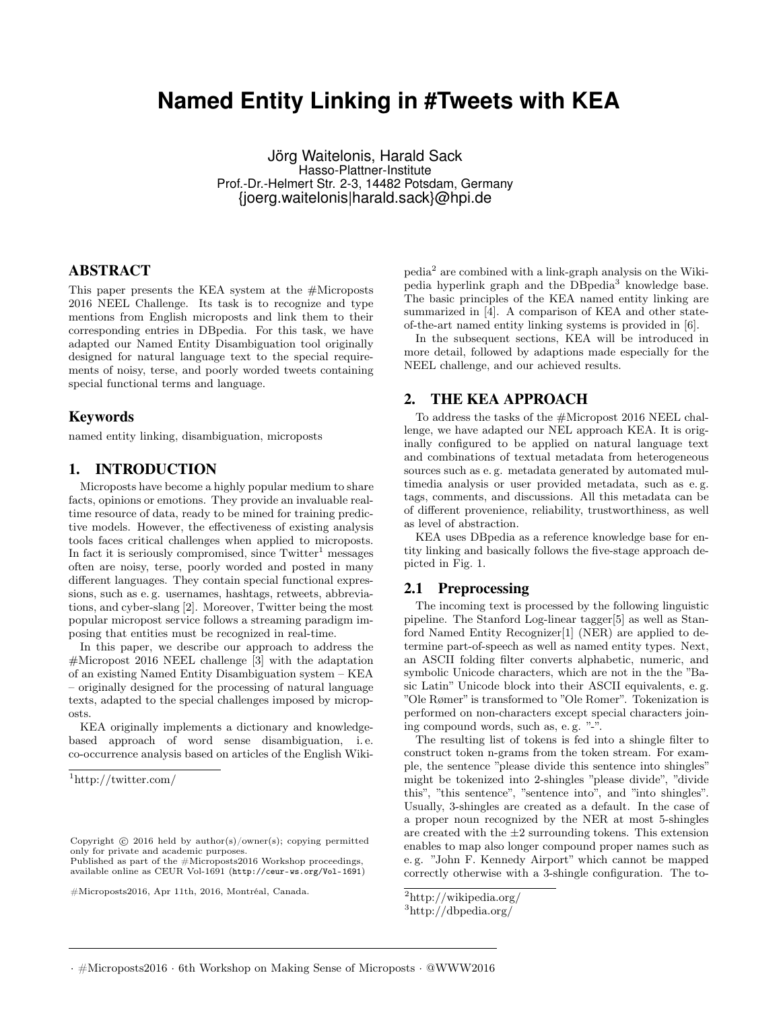# **Named Entity Linking in #Tweets with KEA**

Jörg Waitelonis, Harald Sack Hasso-Plattner-Institute Prof.-Dr.-Helmert Str. 2-3, 14482 Potsdam, Germany {joerg.waitelonis|harald.sack}@hpi.de

## ABSTRACT

This paper presents the KEA system at the #Microposts 2016 NEEL Challenge. Its task is to recognize and type mentions from English microposts and link them to their corresponding entries in DBpedia. For this task, we have adapted our Named Entity Disambiguation tool originally designed for natural language text to the special requirements of noisy, terse, and poorly worded tweets containing special functional terms and language.

#### Keywords

named entity linking, disambiguation, microposts

## 1. INTRODUCTION

Microposts have become a highly popular medium to share facts, opinions or emotions. They provide an invaluable realtime resource of data, ready to be mined for training predictive models. However, the effectiveness of existing analysis tools faces critical challenges when applied to microposts. In fact it is seriously compromised, since  $Twitter<sup>1</sup>$  messages often are noisy, terse, poorly worded and posted in many different languages. They contain special functional expressions, such as e. g. usernames, hashtags, retweets, abbreviations, and cyber-slang [2]. Moreover, Twitter being the most popular micropost service follows a streaming paradigm imposing that entities must be recognized in real-time.

In this paper, we describe our approach to address the #Micropost 2016 NEEL challenge [3] with the adaptation of an existing Named Entity Disambiguation system – KEA – originally designed for the processing of natural language texts, adapted to the special challenges imposed by microposts.

KEA originally implements a dictionary and knowledgebased approach of word sense disambiguation, i. e. co-occurrence analysis based on articles of the English Wiki-

Published as part of the #Microposts2016 Workshop proceedings, available online as CEUR [Vol-1691](http://ceur-ws.org/Vol-1691) (<http://ceur-ws.org/Vol-1691>)

#Microposts2016, Apr 11th, 2016, Montréal, Canada.

pedia<sup>2</sup> are combined with a link-graph analysis on the Wikipedia hyperlink graph and the DBpedia<sup>3</sup> knowledge base. The basic principles of the KEA named entity linking are summarized in [4]. A comparison of KEA and other stateof-the-art named entity linking systems is provided in [6].

In the subsequent sections, KEA will be introduced in more detail, followed by adaptions made especially for the NEEL challenge, and our achieved results.

## 2. THE KEA APPROACH

To address the tasks of the #Micropost 2016 NEEL challenge, we have adapted our NEL approach KEA. It is originally configured to be applied on natural language text and combinations of textual metadata from heterogeneous sources such as e. g. metadata generated by automated multimedia analysis or user provided metadata, such as e. g. tags, comments, and discussions. All this metadata can be of different provenience, reliability, trustworthiness, as well as level of abstraction.

KEA uses DBpedia as a reference knowledge base for entity linking and basically follows the five-stage approach depicted in Fig. 1.

#### 2.1 Preprocessing

The incoming text is processed by the following linguistic pipeline. The Stanford Log-linear tagger[5] as well as Stanford Named Entity Recognizer[1] (NER) are applied to determine part-of-speech as well as named entity types. Next, an ASCII folding filter converts alphabetic, numeric, and symbolic Unicode characters, which are not in the the "Basic Latin" Unicode block into their ASCII equivalents, e. g. "Ole Rømer" is transformed to "Ole Romer". Tokenization is performed on non-characters except special characters joining compound words, such as, e. g. "-".

The resulting list of tokens is fed into a shingle filter to construct token n-grams from the token stream. For example, the sentence "please divide this sentence into shingles" might be tokenized into 2-shingles "please divide", "divide this", "this sentence", "sentence into", and "into shingles". Usually, 3-shingles are created as a default. In the case of a proper noun recognized by the NER at most 5-shingles are created with the  $\pm 2$  surrounding tokens. This extension enables to map also longer compound proper names such as e. g. "John F. Kennedy Airport" which cannot be mapped correctly otherwise with a 3-shingle configuration. The to-

<sup>1</sup>http://twitter.com/

Copyright  $\odot$  2016 held by author(s)/owner(s); copying permitted only for private and academic purposes.

<sup>2</sup>http://wikipedia.org/

<sup>3</sup>http://dbpedia.org/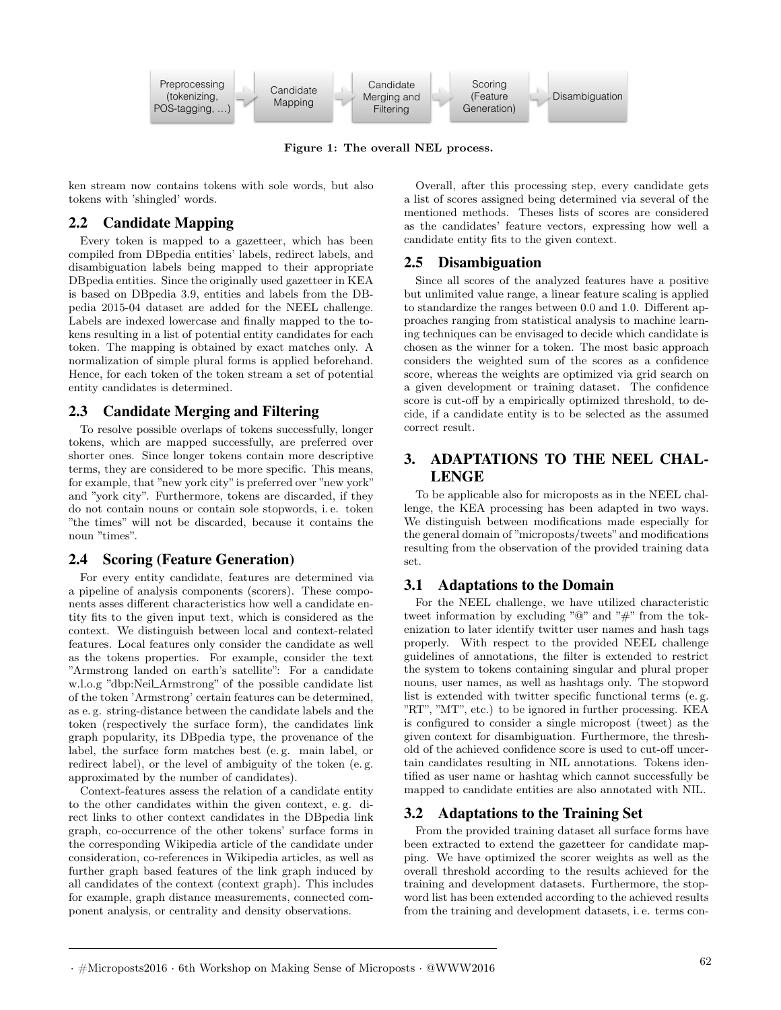

Figure 1: The overall NEL process.

ken stream now contains tokens with sole words, but also tokens with 'shingled' words.

## 2.2 Candidate Mapping

Every token is mapped to a gazetteer, which has been compiled from DBpedia entities' labels, redirect labels, and disambiguation labels being mapped to their appropriate DBpedia entities. Since the originally used gazetteer in KEA is based on DBpedia 3.9, entities and labels from the DBpedia 2015-04 dataset are added for the NEEL challenge. Labels are indexed lowercase and finally mapped to the tokens resulting in a list of potential entity candidates for each token. The mapping is obtained by exact matches only. A normalization of simple plural forms is applied beforehand. Hence, for each token of the token stream a set of potential entity candidates is determined.

## 2.3 Candidate Merging and Filtering

To resolve possible overlaps of tokens successfully, longer tokens, which are mapped successfully, are preferred over shorter ones. Since longer tokens contain more descriptive terms, they are considered to be more specific. This means, for example, that "new york city"is preferred over "new york" and "york city". Furthermore, tokens are discarded, if they do not contain nouns or contain sole stopwords, i. e. token "the times" will not be discarded, because it contains the noun "times".

## 2.4 Scoring (Feature Generation)

For every entity candidate, features are determined via a pipeline of analysis components (scorers). These components asses different characteristics how well a candidate entity fits to the given input text, which is considered as the context. We distinguish between local and context-related features. Local features only consider the candidate as well as the tokens properties. For example, consider the text "Armstrong landed on earth's satellite": For a candidate w.l.o.g "dbp:Neil\_Armstrong" of the possible candidate list of the token 'Armstrong' certain features can be determined, as e. g. string-distance between the candidate labels and the token (respectively the surface form), the candidates link graph popularity, its DBpedia type, the provenance of the label, the surface form matches best (e. g. main label, or redirect label), or the level of ambiguity of the token (e. g. approximated by the number of candidates).

Context-features assess the relation of a candidate entity to the other candidates within the given context, e. g. direct links to other context candidates in the DBpedia link graph, co-occurrence of the other tokens' surface forms in the corresponding Wikipedia article of the candidate under consideration, co-references in Wikipedia articles, as well as further graph based features of the link graph induced by all candidates of the context (context graph). This includes for example, graph distance measurements, connected component analysis, or centrality and density observations.

Overall, after this processing step, every candidate gets a list of scores assigned being determined via several of the mentioned methods. Theses lists of scores are considered as the candidates' feature vectors, expressing how well a candidate entity fits to the given context.

# 2.5 Disambiguation

Since all scores of the analyzed features have a positive but unlimited value range, a linear feature scaling is applied to standardize the ranges between 0.0 and 1.0. Different approaches ranging from statistical analysis to machine learning techniques can be envisaged to decide which candidate is chosen as the winner for a token. The most basic approach considers the weighted sum of the scores as a confidence score, whereas the weights are optimized via grid search on a given development or training dataset. The confidence score is cut-off by a empirically optimized threshold, to decide, if a candidate entity is to be selected as the assumed correct result.

# 3. ADAPTATIONS TO THE NEEL CHAL-LENGE

To be applicable also for microposts as in the NEEL challenge, the KEA processing has been adapted in two ways. We distinguish between modifications made especially for the general domain of "microposts/tweets" and modifications resulting from the observation of the provided training data set.

# 3.1 Adaptations to the Domain

For the NEEL challenge, we have utilized characteristic tweet information by excluding "@" and "#" from the tokenization to later identify twitter user names and hash tags properly. With respect to the provided NEEL challenge guidelines of annotations, the filter is extended to restrict the system to tokens containing singular and plural proper nouns, user names, as well as hashtags only. The stopword list is extended with twitter specific functional terms (e. g. "RT", "MT", etc.) to be ignored in further processing. KEA is configured to consider a single micropost (tweet) as the given context for disambiguation. Furthermore, the threshold of the achieved confidence score is used to cut-off uncertain candidates resulting in NIL annotations. Tokens identified as user name or hashtag which cannot successfully be mapped to candidate entities are also annotated with NIL.

## 3.2 Adaptations to the Training Set

From the provided training dataset all surface forms have been extracted to extend the gazetteer for candidate mapping. We have optimized the scorer weights as well as the overall threshold according to the results achieved for the training and development datasets. Furthermore, the stopword list has been extended according to the achieved results from the training and development datasets, i. e. terms con